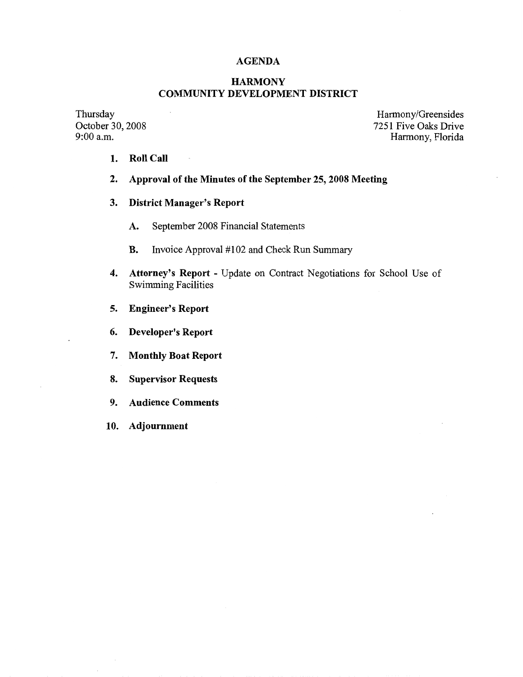## **AGENDA**

# **HARMONY COMMUNITY DEVELOPMENT DISTRICT**

Thursday October 30, 2008 9:00 a.m.

Harmony/Greensides 7251 Five Oaks Drive Harmony, Florida

- **1. Roll Call**
- **2. Approval of the Minutes of the September 25, 2008 Meeting**
- **3. District Manager's Report** 
	- **A.** September 2008 Financial Statements
	- **B.** Invoice Approval #102 and Check Run Summary
- **4. Attorney's Report**  Update on Contract Negotiations for School Use of Swimming Facilities
- **5. Engineer's Report**
- 6. **Developer's Report**
- 7. **Monthly Boat Report**
- **8. Supervisor Requests**
- 9. **Audience Comments**
- 10. **Adjournment**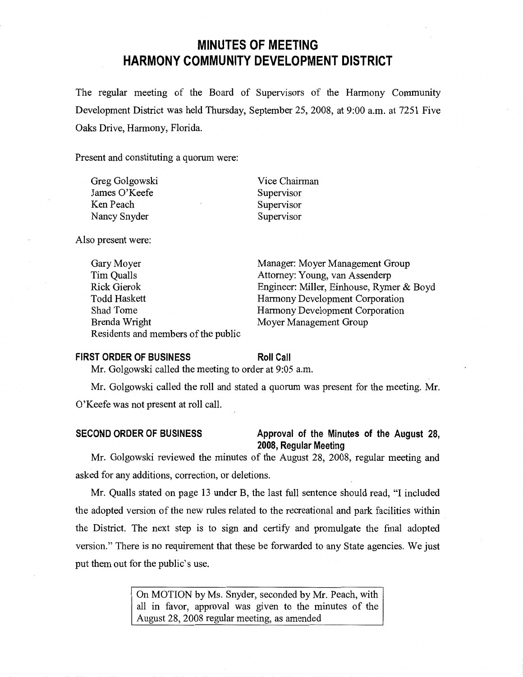# **MINUTES OF MEETING HARMONY COMMUNITY DEVELOPMENT DISTRICT**

The regular meeting of the Board of Supervisors of the Harmony Community Development District was held Thursday, September 25, 2008, at 9:00 a.m. at 7251 Five Oaks Drive, Harmony, Florida.

Present and constituting a quorum were:

| Greg Golgowski | Vice Chairman |
|----------------|---------------|
| James O'Keefe  | Supervisor    |
| Ken Peach      | Supervisor    |
| Nancy Snyder   | Supervisor    |

Also present were:

| Gary Moyer                          | Manager: Moyer Management Group          |
|-------------------------------------|------------------------------------------|
| Tim Qualls                          | Attorney: Young, van Assenderp           |
| <b>Rick Gierok</b>                  | Engineer: Miller, Einhouse, Rymer & Boyd |
| <b>Todd Haskett</b>                 | Harmony Development Corporation          |
| Shad Tome                           | Harmony Development Corporation          |
| Brenda Wright                       | Moyer Management Group                   |
| Residents and members of the public |                                          |

### **FIRST ORDER OF BUSINESS**

**Roll Call** 

Mr. Golgowski called the meeting to order at 9:05 a.m.

Mr. Golgowski called the roll and stated a quorum was present for the meeting. Mr. O'Keefe was not present at roll call.

## **SECOND ORDER OF BUSINESS Approval of the Minutes of the August 28, 2008, Regular Meeting**

Mr. Golgowski reviewed the minutes of the August 28, 2008, regular meeting and asked for any additions, correction, or deletions.

Mr. Qualls stated on page 13 under B, the last full sentence should read, "I included the adopted version of the new rules related to the recreational and park facilities within the District. The next step is to sign and certify and promulgate the final adopted version." There is no requirement that these be forwarded to any State agencies. We just put them out for the public's use.

> On MOTION by Ms. Snyder, seconded by Mr. Peach, with all in favor, approval was given to the minutes of the August 28, 2008 regular meeting, as amended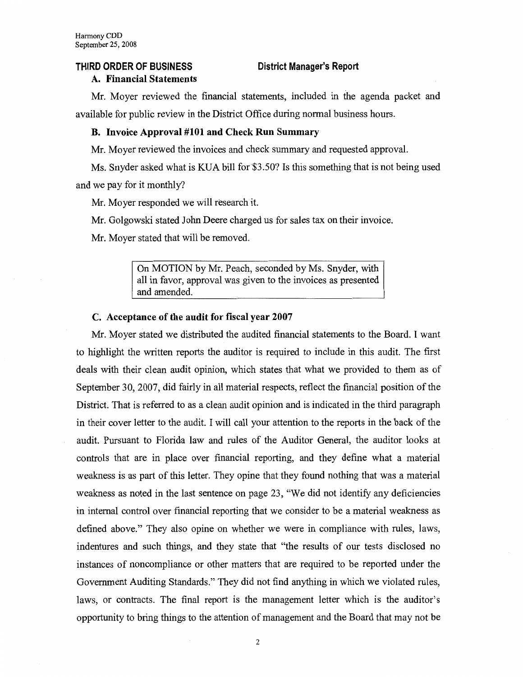### **THIRD ORDER OF BUSINESS**

**District Manager's Report** 

### **A. Financial Statements**

Mr. Moyer reviewed the financial statements, included in the agenda packet and available for public review in the District Office during normal business hours.

## **B. Invoice Approval #101 and Check Run Summary**

Mr. Moyer reviewed the invoices and check summary and requested approval.

Ms. Snyder asked what is KUA bill for \$3.50? Is this something that is not being used and we pay for it monthly?

Mr. Moyer responded we will research it.

Mr. Golgowski stated John Deere charged us for sales tax on their invoice.

Mr. Moyer stated that will be removed.

On MOTION by Mr. Peach, seconded by Ms. Snyder, with all in favor, approval was given to the invoices as presented and amended.

### **C. Acceptance of the audit for fiscal year 2007**

Mr. Moyer stated we distributed the audited financial statements to the Board. I want to highlight the written reports the auditor is required to include in this audit. The first deals with their clean audit opinion, which states that what we provided to them as of September 30, 2007, did fairly in all material respects, reflect the financial position of the District. That is referred to as a clean audit opinion and is indicated in the third paragraph in their cover letter to the audit. I will call your attention to the reports in the back of the audit. Pursuant to Florida law and rules of the Auditor General, the auditor looks at controls that are in place over financial reporting, and they define what a material weakness is as part of this letter. They opine that they found nothing that was a material weakness as noted in the last sentence on page 23, "We did not identify any deficiencies in internal control over financial reporting that we consider to be a material weakness as defined above." They also opine on whether we were in compliance with rules, laws, indentures and such things, and they state that "the results of our tests disclosed no instances of noncompliance or other matters that are required to be reported under the Government Auditing Standards." They did not find anything in which we violated rules, laws, or contracts. The final report is the management letter which is the auditor's opportunity to bring things to the attention of management and the Board that may not be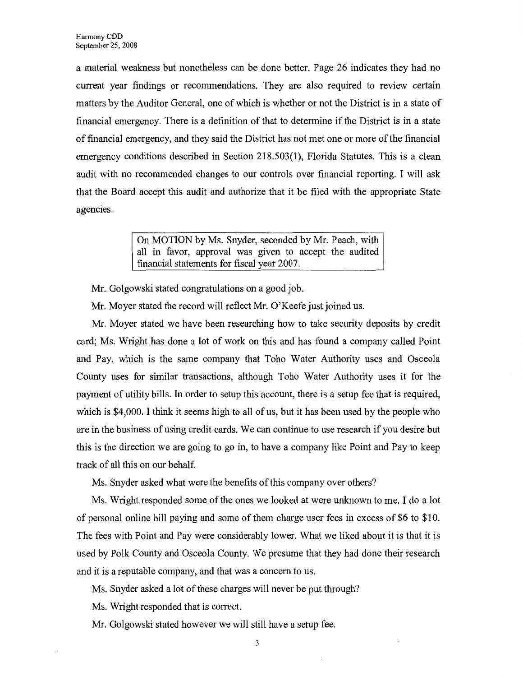a material weakness but nonetheless can be done better. Page 26 indicates they had no current year findings or recommendations. They are also required to review certain matters by the Auditor General, one of which is whether or not the District is in a state of financial emergency. There is a definition of that to determine if the District is in a state of financial emergency, and they said the District has not met one or more of the financial emergency conditions described in Section 218.503(1), Florida Statutes. This is a clean audit with no recommended changes to our controls over financial reporting. I will ask that the Board accept this audit and authorize that it be filed with the appropriate State agencies.

> On MOTION by Ms. Snyder, seconded by Mr. Peach, with all in favor, approval was given to accept the audited financial statements for fiscal year 2007.

Mr. Golgowski stated congratulations on a good job.

Mr. Moyer stated the record will reflect Mr. O'Keefe just joined us.

Mr. Moyer stated we have been researching how to take security deposits by credit card; Ms. Wright has done a lot of work on this and has found a company called Point and Pay, which is the same company that Toho Water Authority uses and Osceola County uses for similar transactions, although Toho Water Authority uses it for the payment of utility bills. In order to setup this account, there is a setup fee that is required, which is \$4,000. I think it seems high to all of us, but it has been used by the people who are in the business of using credit cards. We can continue to use research if you desire but this is the direction we are going to go in, to have a company like Point and Pay to keep track of all this on our behalf.

Ms. Snyder asked what were the benefits of this company over others?

Ms. Wright responded some of the ones we looked at were unknown to me. I do a lot of personal online bill paying and some of them charge user fees in excess of \$6 to \$10. The fees with Point and Pay were considerably lower. What we liked about it is that it is used by Polk County and Osceola County. We presume that they had done their research and it is a reputable company, and that was a concern to us.

Ms. Snyder asked a lot of these charges will never be put through?

Ms. Wright responded that is correct.

Mr. Golgowski stated however we will still have a setup fee.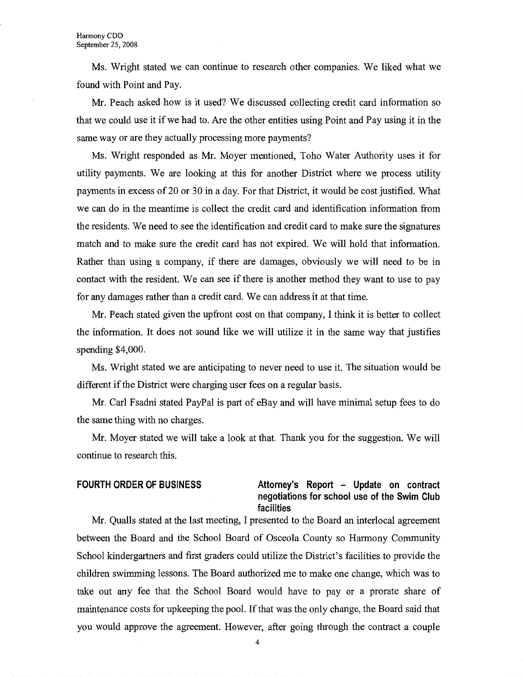Ms. Wright stated we can continue to research other companies. We liked what we found with Point and Pay.

Mr. Peach asked how is it used? We discussed collecting credit card information so that we could use it if we had to. Are the other entities using Point and Pay using it in the same way or are they actually processing more payments?

Ms. Wright responded as Mr. Moyer mentioned, Toho Water Authority uses it for utility payments. We are looking at this for another District where we process utility payments in excess of 20 or 30 in a day. For that District, it would be cost justified. What we can do in the meantime is collect the credit card and identification information from the residents. We need to see the identification and credit card to make sure the signatures match and to make sure the credit card has not expired. We will hold that information. Rather than using a company, if there are damages, obviously we will need to be in contact with the resident. We can see if there is another method they want to use to pay for any damages rather than a credit card. We can address it at that time.

Mr. Peach stated given the upfront cost on that company, I think it is better to collect the information. It does not sound like we will utilize it in the same way that justifies spending \$4,000.

Ms. Wright stated we are anticipating to never need to use it. The situation would be different if the District were charging user fees on a regular basis.

Mr. Carl Fsadni stated PayPal is part of eBay and will have minimal setup fees to do the same thing with no charges.

Mr. Moyer stated we will take a look at that. Thank you for the suggestion. We will continue to research this.

## **FOURTH ORDER OF BUSINESS Attorney's Report - Update on contract negotiations for school use of the Swim Club facilities**

Mr. Qualls stated at the last meeting, I presented to the Board an interlocal agreement between the Board and the School Board of Osceola County so Harmony Community School kindergartners and first graders could utilize the District's facilities to provide the children swimming lessons. The Board authorized me to make one change, which was to take out any fee that the School Board would have to pay or a prorate share of maintenance costs for upkeeping the pool. If that was the only change, the Board said that you would approve the agreement. However, after going through the contract a couple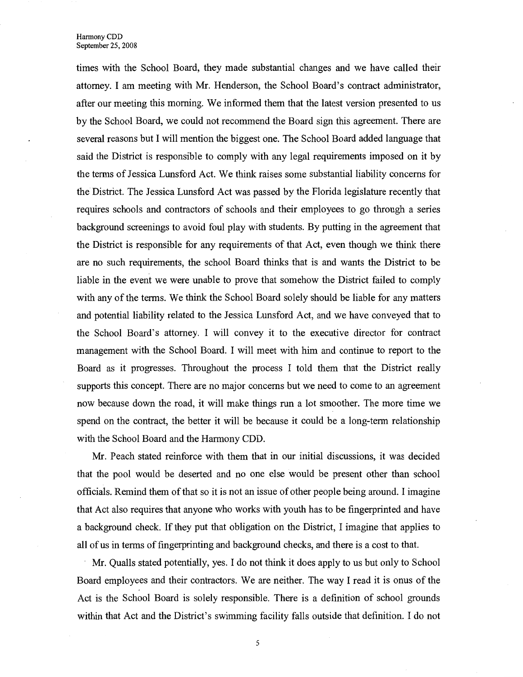times with the School Board, they made substantial changes and we have called their attorney. I am meeting with Mr. Henderson, the School Board's contract administrator, after our meeting this morning. We informed them that the latest version presented to us by the School Board, we could not recommend the Board sign this agreement. There are several reasons but I will mention the biggest one. The School Board added language that said the District is responsible to comply with any legal requirements imposed on it by the terms of Jessica Lunsford Act. We think raises some substantial liability concerns for the District. The Jessica Lunsford Act was passed by the Florida legislature recently that requires schools and contractors of schools and their employees to go through a series background screenings to avoid foul play with students. By putting in the agreement that the District is responsible for any requirements of that Act, even though we think there are no such requirements, the school Board thinks that is and wants the District to be liable in the event we were unable to prove that somehow the District failed to comply with any of the terms. We think the School Board solely should be liable for any matters and potential liability related to the Jessica Lunsford Act, and we have conveyed that to the School Board's attorney. I will convey it to the executive director for contract management with the School Board. I will meet with him and continue to report to the Board as it progresses. Throughout the process I told them that the District really supports this concept. There are no major concerns but we need to come to an agreement now because down the road, it will make things run a lot smoother. The more time we spend on the contract, the better it will be because it could be a long-term relationship with the School Board and the Harmony CDD.

Mr. Peach stated reinforce with them that in our initial discussions, it was decided that the pool would be deserted and no one else would be present other than school officials. Remind them of that so it is not an issue of other people being around. I imagine that Act also requires that anyone who works with youth has to be fingerprinted and have a background check. If they put that obligation on the District, I imagine that applies to all of us in terms of fingerprinting and background checks, and there is a cost to that.

Mr. Qualls stated potentially, yes. I do not think it does apply to us but only to School Board employees and their contractors. We are neither. The way I read it is onus of the Act is the School Board is solely responsible. There is a definition of school grounds within that Act and the District's swimming facility falls outside that definition. I do not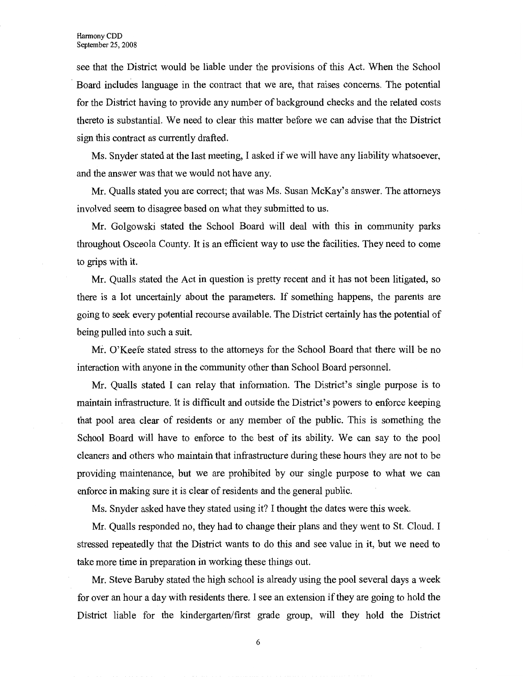see that the District would be liable under the provisions of this Act. When the School Board includes language in the contract that we are, that raises concerns. The potential for the District having to provide any number of background checks and the related costs thereto is substantial. We need to clear this matter before we can advise that the District sign this contract as currently drafted.

Ms. Snyder stated at the last meeting, I asked if we will have any liability whatsoever, and the answer was that we would not have any.

Mr. Qualls stated you are correct; that was Ms. Susan McKay's answer. The attorneys involved seem to disagree based on what they submitted to us.

Mr. Golgowski stated the School Board will deal with this in community parks throughout Osceola County. It is an efficient way to use the facilities. They need to come to grips with it.

Mr. Qualls stated the Act in question is pretty recent and it has not been litigated, so there is a lot uncertainly about the parameters. If something happens, the parents are going to seek every potential recourse available. The District certainly has the potential of being pulled into such a suit.

Mr. O'Keefe stated stress to the attorneys for the School Board that there will be no interaction with anyone in the community other than School Board personnel.

Mr. Qualls stated I can relay that information. The District's single purpose is to maintain infrastructure. It is difficult and outside the District's powers to enforce keeping that pool area clear of residents or any member of the public. This is something the School Board will have to enforce to the best of its ability. We can say to the pool cleaners and others who maintain that infrastructure during these hours they are not to be providing maintenance, but we are prohibited by our single purpose to what we can enforce in making sure it is clear of residents and the general public.

Ms. Snyder asked have they stated using it? I thought the dates were this week.

Mr. Qualls responded no, they had to change their plans and they went to St. Cloud. I stressed repeatedly that the District wants to do this and see value in it, but we need to take more time in preparation in working these things out.

Mr. Steve Baruby stated the high school is already using the pool several days a week for over an hour a day with residents there. I see an extension if they are going to hold the District liable for the kindergarten/first grade group, will they hold the District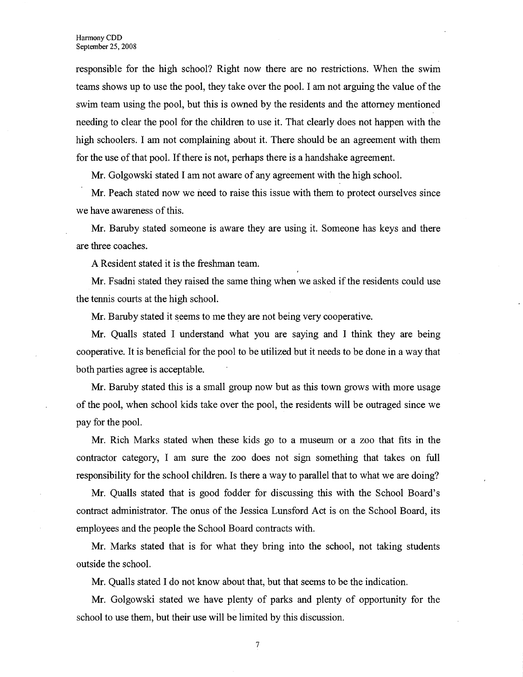responsible for the high school? Right now there are no restrictions. When the swim teams shows up to use the pool, they take over the pool. I am not arguing the value of the swim team using the pool, but this is owned by the residents and the attorney mentioned needing to clear the pool for the children to use it. That clearly does not happen with the high schoolers. I am not complaining about it. There should be an agreement with them for the use of that pool. If there is not, perhaps there is a handshake agreement.

Mr. Golgowski stated I am not aware of any agreement with the high school.

Mr. Peach stated now we need to raise this issue with them to protect ourselves since we have awareness of this.

Mr. Bamby stated someone is aware they are using it. Someone has keys and there are three coaches.

A Resident stated it is the freshman team.

Mr. Fsadni stated they raised the same thing when we asked if the residents could use the tennis courts at the high school.

Mr. Baruby stated it seems to me they are not being very cooperative.

**Mr.** Qualls stated I understand what you are saying and I think they are being cooperative. It is beneficial for the pool to be utilized but it needs to be done in a way that both parties agree is acceptable.

Mr. Bamby stated this is a small group now but as this town grows with more usage of the pool, when school kids take over the pool, the residents will be outraged since we pay for the pool.

Mr. Rich Marks stated when these kids go to a museum or a zoo that fits in the contractor category, I am sure the zoo does not sign something that takes on full responsibility for the school children. Is there a way to parallel that to what we are doing?

Mr. Qualls stated that is good fodder for discussing this with the School Board's contract administrator. The onus of the Jessica Lunsford Act is on the School Board, its employees and the people the School Board contracts with.

Mr. Marks stated that is for what they bring into the school, not taking students outside the school.

Mr. Qualls stated I do not know about that, but that seems to be the indication.

Mr. Golgowski stated we have plenty of parks and plenty of opportunity for the school to use them, but their use will be limited by this discussion.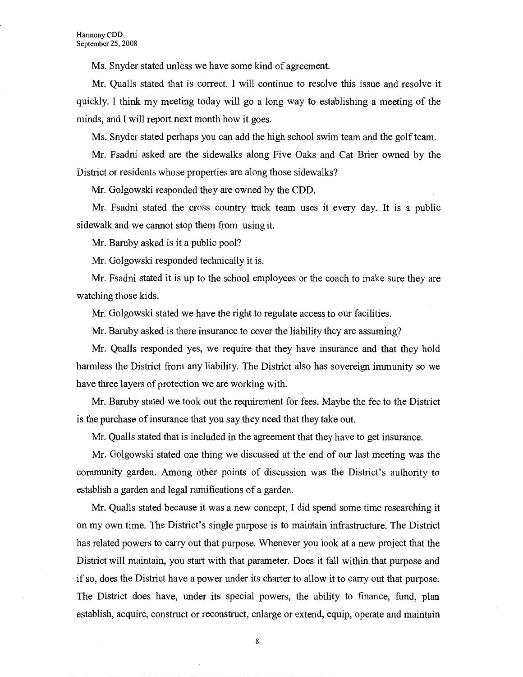Ms. Snyder stated unless we have some kind of agreement.

Mr. Qualls stated that is correct. I will continue to resolve this issue and resolve it quickly. I think my meeting today will go a long way to establishing a meeting of the minds, and I will report next month how it goes.

Ms. Snyder stated perhaps you can add the high school swim team and the golf team.

Mr. Fsadni asked are the sidewalks along Five Oaks and Cat Brier owned by the District or residents whose properties are along those sidewalks?

Mr. Golgowski responded they are owned by the CDD.

Mr. Fsadni stated the cross country track team uses it every day. It is a public sidewalk and we cannot stop them from using it.

Mr. Baruby asked is it a public pool?

Mr. Golgowski responded technically it is.

Mr. Fsadni stated it is up to the school employees or the coach to make sure they are watching those kids.

Mr. Golgowski stated we have the right to regulate access to our facilities.

Mr. Baruby asked is there insurance to cover the liability they are assuming?

Mr. Qualls responded yes, we require that they have insurance and that they hold harmless the District from any liability. The District also has sovereign immunity so we have three layers of protection we are working with.

Mr. Bamby stated we took out the requirement for fees. Maybe the fee to the District is the purchase of insurance that you say they need that they take out.

Mr. Qualls stated that is included in the agreement that they have to get insurance.

Mr. Golgowski stated one thing we discussed at the end of our last meeting was the community garden. Among other points of discussion was the District's authority to establish a garden and legal ramifications of a garden.

Mr. Qualls stated because it was a new concept, I did spend some time researching it on my own time. The District's single purpose is to maintain infrastructure. The District has related powers to carry out that purpose. Whenever you look at a new project that the District will maintain, you start with that parameter. Does it fall within that purpose and if so, does the District have a power under its charter to allow it to carry out that purpose. The District does have, under its special powers, the ability to finance, fund, plan establish, acquire, construct or reconstruct, enlarge or extend, equip, operate and maintain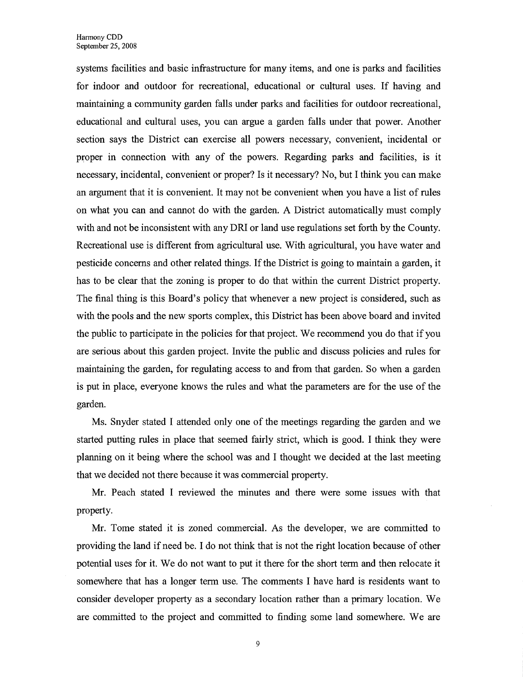systems facilities and basic infrastructure for many items, and one is parks and facilities for indoor and outdoor for recreational, educational or cultural uses. If having and maintaining a community garden falls under parks and facilities for outdoor recreational, educational and cultural uses, you can argue a garden falls under that power. Another section says the District can exercise all powers necessary, convenient, incidental or proper in connection with any of the powers. Regarding parks and facilities, is it necessary, incidental, convenient or proper? Is it necessary? No, but I think you can make an argument that it is convenient. It may not be convenient when you have a list of rules on what you can and cannot do with the garden. A District automatically must comply with and not be inconsistent with any DRI or land use regulations set forth by the County. Recreational use is different from agricultural use. With agricultural, you have water and pesticide concerns and other related things. If the District is going to maintain a garden, it has to be clear that the zoning is proper to do that within the current District property. The final thing is this Board's policy that whenever a new project is considered, such as with the pools and the new sports complex, this District has been above board and invited the public to participate in the policies for that project. We recommend you do that if you are serious about this garden project. Invite the public and discuss policies and rules for maintaining the garden, for regulating access to and from that garden. So when a garden is put in place, everyone knows the rules and what the parameters are for the use of the garden.

Ms. Snyder stated I attended only one of the meetings regarding the garden and we started putting rules in place that seemed fairly strict, which is good. I think they were planning on it being where the school was and I thought we decided at the last meeting that we decided not there because it was commercial property.

Mr. Peach stated I reviewed the minutes and there were some issues with that property.

Mr. Tome stated it is zoned commercial. As the developer, we are committed to providing the land if need be. I do not think that is not the right location because of other potential uses for it. We do not want to put it there for the short term and then relocate it somewhere that has a longer term use. The comments I have hard is residents want to consider developer property as a secondary location rather than a primary location. We are committed to the project and committed to finding some land somewhere. We are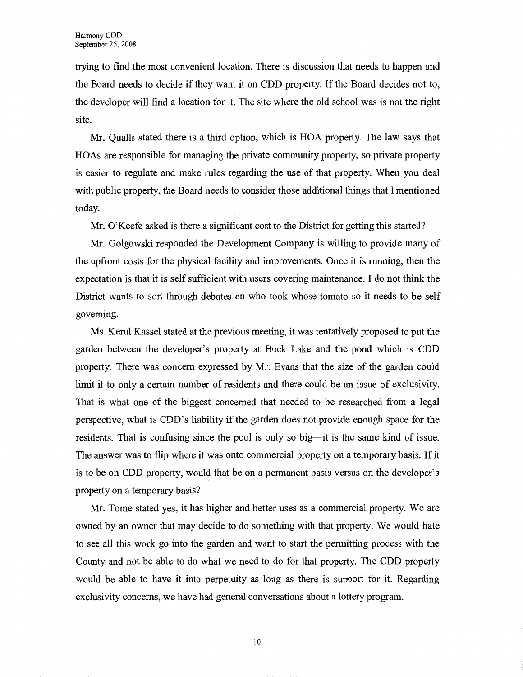trying to find the most convenient location. There is discussion that needs to happen and the Board needs to decide if they want it on CDD property. If the Board decides not to, the developer will find a location for it. The site where the old school was is not the right site.

Mr. Qualls stated there is a third option, which is HOA property. The law says that HOAs are responsible for managing the private community property, so private property is easier to regulate and make rules regarding the use of that property. When you deal with public property, the Board needs to consider those additional things that I mentioned today.

Mr. O'Keefe asked is there a significant cost to the District for getting this started?

Mr. Golgowski responded the Development Company is willing to provide many of the upfront costs for the physical facility and improvements. Once it is running, then the expectation is that it is self sufficient with users covering maintenance. I do not think the District wants to sort through debates on who took whose tomato so it needs to be self governing.

Ms. Kerul Kassel stated at the previous meeting, it was tentatively proposed to put the garden between the developer's property at Buck Lake and the pond which is CDD property. There was concern expressed by Mr. Evans that the size of the garden could limit it to only a certain number of residents and there could be an issue of exclusivity. That is what one of the biggest concerned that needed to be researched from a legal perspective, what is CDD's liability if the garden does not provide enough space for the residents. That is confusing since the pool is only so big—it is the same kind of issue. The answer was to flip where it was onto commercial property on a temporary basis. If it is to be on CDD property, would that be on a permanent basis versus on the developer's property on a temporary basis?

Mr. Tome stated yes, it has higher and better uses as a commercial property. We are owned by an owner that may decide to do something with that property. We would hate to see all this work go into the garden and want to start the permitting process with the County and not be able to do what we need to do for that property. The CDD property would be able to have it into perpetuity as long as there is support for it. Regarding exclusivity concerns, we have had general conversations about a lottery program.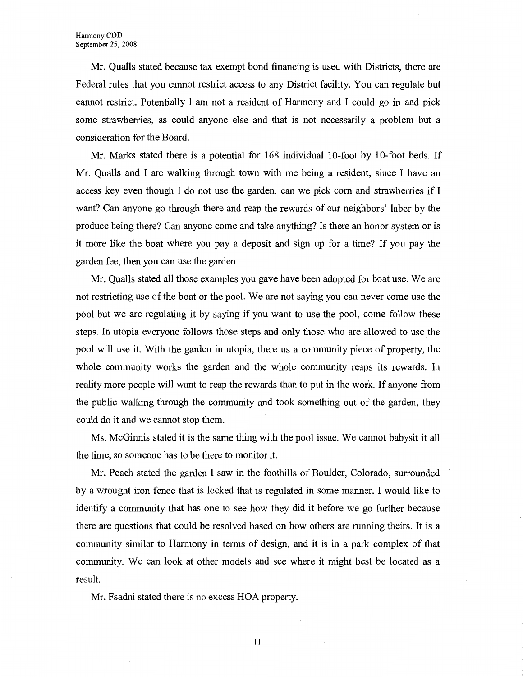Mr. Qualls stated because tax exempt bond financing is used with Districts, there are Federal rules that you cannot restrict access to any District facility. You can regulate but cannot restrict. Potentially I am not a resident of Harmony and I could go in and pick some strawberries, as could anyone else and that is not necessarily a problem but a consideration for the Board.

Mr. Marks stated there is a potential for 168 individual 10-foot by 10-foot beds. If Mr. Qualls and I are walking through town with me being a resident, since I have an access key even though I do not use the garden, can we pick com and strawberries if I want? Can anyone go through there and reap the rewards of our neighbors' labor by the produce being there? Can anyone come and take anything? Is there an honor system or is it more like the boat where you pay a deposit and sign up for a time? If you pay the garden fee, then you can use the garden.

Mr. Qualls stated all those examples you gave have been adopted for boat use. We are not restricting use of the boat or the pool. We are not saying you can never come use the pool but we are regulating it by saying if you want to use the pool, come follow these steps. In utopia everyone follows those steps and only those who are allowed to use the pool will use it. With the garden in utopia, there us a community piece of property, the whole community works the garden and the whole community reaps its rewards. In reality more people will want to reap the rewards than to put in the work. If anyone from the public walking through the community and took something out of the garden, they could do it and we cannot stop them.

Ms. McGinnis stated it is the same thing with the pool issue. We cannot babysit it all the time, so someone has to be there to monitor it.

Mr. Peach stated the garden I saw in the foothills of Boulder, Colorado, surrounded by a wrought iron fence that is locked that is regulated in some manner. I would like to identify a community that has one to see how they did it before we go further because there are questions that could be resolved based on how others are running theirs. It is a community similar to Harmony in terms of design, and it is in a park complex of that community. We can look at other models and see where it might best be located as a result.

Mr. Fsadni stated there is no excess HOA property.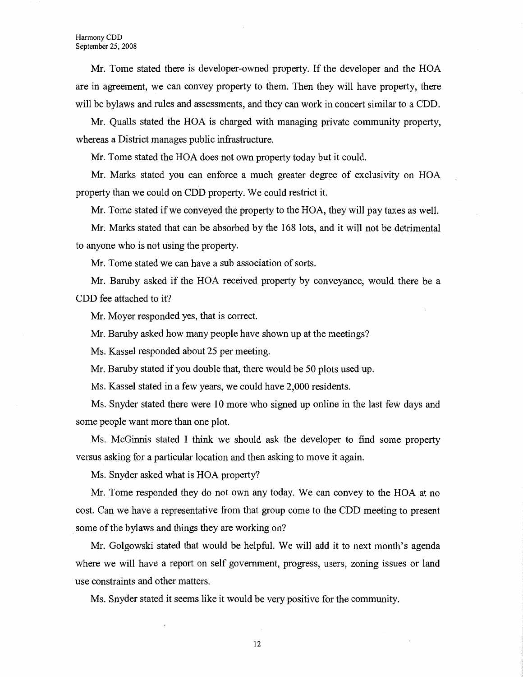Mr. Tome stated there is developer-owned property. If the developer and the HOA are in agreement, we can convey property to them. Then they will have property, there will be bylaws and rules and assessments, and they can work in concert similar to a CDD.

Mr. Qualls stated the HOA is charged with managing private community property, whereas a District manages public infrastructure.

Mr. Tome stated the HOA does not own property today but it could.

Mr. Marks stated you can enforce a much greater degree of exclusivity on HOA property than we could on CDD property. We could restrict it.

Mr. Tome stated ifwe conveyed the property to the HOA, they will pay taxes as well.

Mr; Marks stated that can be absorbed by the 168 lots, and it will not be detrimental to anyone who is not using the property.

Mr. Tome stated we can have a sub association of sorts.

Mr. Bamby asked if the HOA received property by conveyance, would there be a CDD fee attached to it?

Mr. Moyer responded yes, that is correct.

Mr. Baruby asked how many people have shown up at the meetings?

Ms. Kassel responded about 25 per meeting.

Mr. Baruby stated if you double that, there would be 50 plots used up.

Ms. Kassel stated in a few years, we could have 2,000 residents.

Ms. Snyder stated there were 10 more who signed up online in the last few days and some people want more than one plot.

Ms. McGinnis stated I think we should ask the developer to find some property versus asking for a particular location and then asking to move it again.

Ms. Snyder asked what is HOA property?

Mr. Tome responded they do not own any today. We can convey to the HOA at no cost. Can we have a representative from that group come to the CDD meeting to present some of the bylaws and things they are working on?

Mr. Golgowski stated that would be helpful. We will add it to next month's agenda where we will have a report on self government, progress, users, zoning issues or land use constraints and other matters.

Ms. Snyder stated it seems like it would be very positive for the community.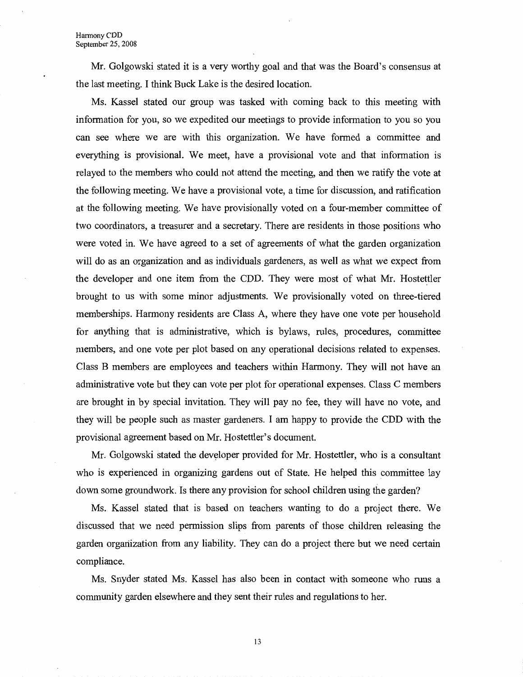Mr. Golgowski stated it is a very worthy goal and that was the Board's consensus at the last meeting. I think Buck Lake is the desired location.

Ms. Kassel stated our group was tasked with coming back to this meeting with information for you, so we expedited our meetings to provide information to you so you can see where we are with this organization. We have formed a committee and everything is provisional. We meet, have a provisional vote and that information is relayed to the members who could not attend the meeting, and then we ratify the vote at the following meeting. We have a provisional vote, a time for discussion, and ratification at the following meeting. We have provisionally voted on a four-member committee of two coordinators, a treasurer and a secretary. There are residents in those positions who were voted in. We have agreed to a set of agreements of what the garden organization will do as an organization and as individuals gardeners, as well as what we expect from the developer and one item from the CDD. They were most of what Mr. Hostettler brought to us with some minor adjustments. We provisionally voted on three-tiered memberships. Harmony residents are Class A, where they have one vote per household for anything that is administrative, which is bylaws, rules, procedures, committee members, and one vote per plot based on any operational decisions related to expenses. Class B members are employees and teachers within Harmony. They will not have an administrative vote but they can vote per plot for operational expenses. Class C members are brought in by special invitation. They will pay no fee, they will have no vote, and they will be people such as master gardeners. I am happy to provide the CDD with the provisional agreement based on Mr. Hostettler's document.

Mr. Golgowski stated the developer provided for Mr. Hostettler, who is a consultant who is experienced in organizing gardens out of State. He helped this committee lay down some groundwork. Is there any provision for school children using the garden?

Ms. Kassel stated that is based on teachers wanting to do a project there. We discussed that we need permission slips from parents of those children releasing the garden organization from any liability. They can do a project there but we need certain compliance.

Ms. Snyder stated Ms. Kassel has also been in contact with someone who runs a community garden elsewhere and they sent their rules and regulations to her.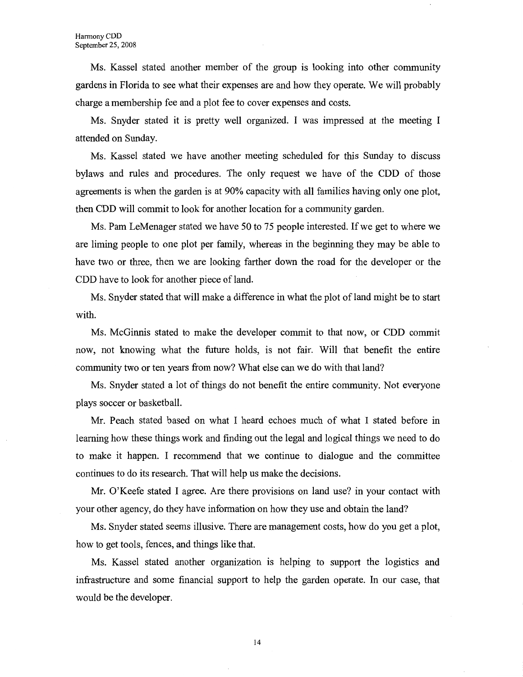Ms. Kassel stated another member of the group is looking into other community gardens in Florida to see what their expenses are and how they operate. We will probably charge a membership fee and a plot fee to cover expenses and costs.

Ms. Snyder stated it is pretty well organized. I was impressed at the meeting I attended on Sunday.

Ms. Kassel stated we have another meeting scheduled for this Sunday to discuss bylaws and rules and procedures. The only request we have of the CDD of those agreements is when the garden is at 90% capacity with all families having only one plot, then CDD will commit to look for another location for a community garden.

Ms. Pam LeMenager stated we have 50 to 75 people interested. If we get to where we are liming people to one plot per family, whereas in the beginning they may be able to have two or three, then we are looking farther down the road for the developer or the CDD have to look for another piece of land.

Ms. Snyder stated that will make a difference in what the plot of land might be to start with.

Ms. McGinnis stated to make the developer commit to that now, or CDD commit now, not knowing what the future holds, is not fair. Will that benefit the entire community two or ten years from now? What else can we do with that land?

Ms. Snyder stated a lot of things do not benefit the entire community. Not everyone plays soccer or basketball.

Mr. Peach stated based on what I heard echoes much of what I stated before in learning how these things work and finding out the legal and logical things we need to do to make it happen. I recommend that we continue to dialogue and the committee continues to do its research. That will help us make the decisions.

Mr. O'Keefe stated I agree. Are there provisions on land use? in your contact with your other agency, do they have information on how they use and obtain the land?

Ms. Snyder stated seems illusive. There are management costs, how do you get a plot, how to get tools, fences, and things like that.

Ms. Kassel stated another organization is helping to support the logistics and infrastructure and some financial support to help the garden operate. In our case, that would be the developer.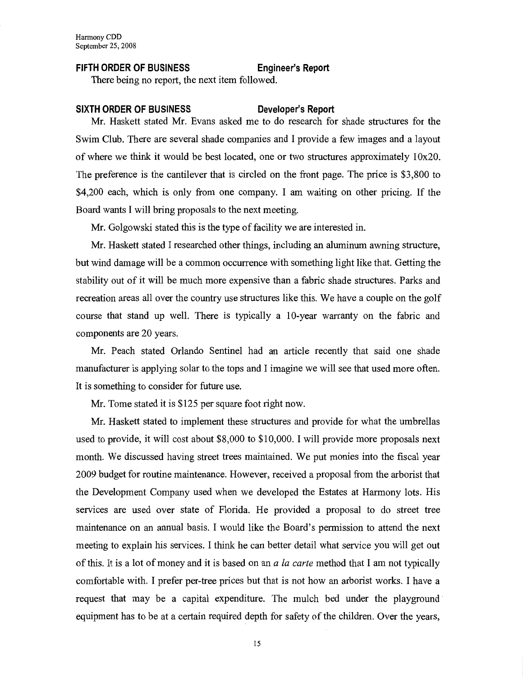## **FIFTH ORDER OF BUSINESS Engineer's Report**

There being no report, the next item followed.

### **SIXTH ORDER OF BUSINESS Developer's Report**

Mr. Haskett stated Mr. Evans asked me to do research for shade structures for the Swim Club. There are several shade companies and I provide a few images and a layout of where we think it would be best located, one or two structures approximately  $10x20$ . The preference is the cantilever that is circled on the front page. The price is \$3,800 to \$4,200 each, which is only from one company. I am waiting on other pricing. If the Board wants I will bring proposals to the next meeting.

Mr. Golgowski stated this is the type of facility we are interested in.

Mr. Haskett stated I researched other things, including an aluminum awning structure, but wind damage will be a common occurrence with something light like that. Getting the stability out of it will be much more expensive than a fabric shade structures. Parks and recreation areas all over the country use structures like this. We have a couple on the golf course that stand up well. There is typically a 10-year warranty on the fabric and components are 20 years.

Mr. Peach stated Orlando Sentinel had an article recently that said one shade manufacturer is applying solar to the tops and I imagine we will see that used more often. It is something to consider for future use.

Mr. Tome stated it is \$125 per square foot right now.

Mr. Haskett stated to implement these structures and provide for what the umbrellas used to provide, it will cost about \$8,000 to \$10,000. I will provide more proposals next month. We discussed having street trees maintained. We put monies into the fiscal year 2009 budget for routine maintenance. However, received a proposal from the arborist that the Development Company used when we developed the Estates at Harmony lots. His services are used over state of Florida. He provided a proposal to do street tree maintenance on an annual basis. I would like the Board's permission to attend the next meeting to explain his services. I think he can better detail what service you will get out of this. It is a lot of money and it is based on an *a la carte* method that I am not typically comfortable with. I prefer per-tree prices but that is not how an arborist works. I have a request that may be a capital expenditure. The mulch bed under the playground equipment has to be at a certain required depth for safety of the children. Over the years,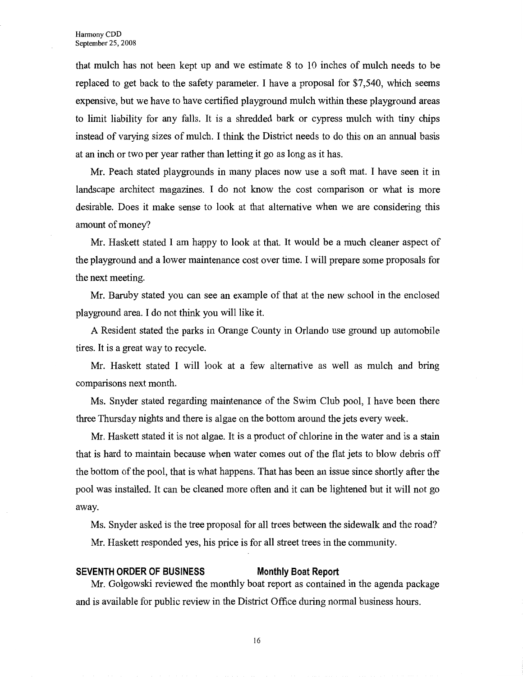that mulch has not been kept up and we estimate 8 to 10 inches of mulch needs to be replaced to get back to the safety parameter. I have a proposal for \$7,540, which seems expensive, but we have to have certified playground mulch within these playground areas to limit liability for any falls. It is a shredded bark or cypress mulch with tiny chips instead of varying sizes of mulch. I think the District needs to do this on an annual basis at an inch or two per year rather than letting it go as long as it has.

Mr. Peach stated playgrounds in many places now use a soft mat. I have seen it in landscape architect magazines. I do not know the cost comparison or what is more desirable. Does it make sense to look at that alternative when we are considering this amount of money?

Mr. Haskett stated I am happy to look at that. It would be a much cleaner aspect of the playground and a lower maintenance cost over time. I will prepare some proposals for the next meeting.

Mr. Baruby stated you can see an example of that at the new school in the enclosed playground area. I do not think you will like it.

A Resident stated the parks in Orange County in Orlando use ground up automobile tires. It is a great way to recycle.

Mr. Haskett stated I will look at a few alternative as well as mulch and bring comparisons next month.

Ms. Snyder stated regarding maintenance of the Swim Club pool, I have been there three Thursday nights and there is algae on the bottom around the jets every week.

Mr. Haskett stated it is not algae. It is a product of chlorine in the water and is a stain that is hard to maintain because when water comes out of the flat jets to blow debris off the bottom of the pool, that is what happens. That has been an issue since shortly after the pool was installed. It can be cleaned more often and it can be lightened but it will not go away.

Ms. Snyder asked is the tree proposal for all trees between the sidewalk and the road? Mr. Haskett responded yes, his price is for all street trees in the community.

### **SEVENTH ORDER OF BUSINESS Monthly Boat Report**

Mr. Golgowski reviewed the monthly boat report as contained in the agenda package and is available for public review in the District Office during normal business hours.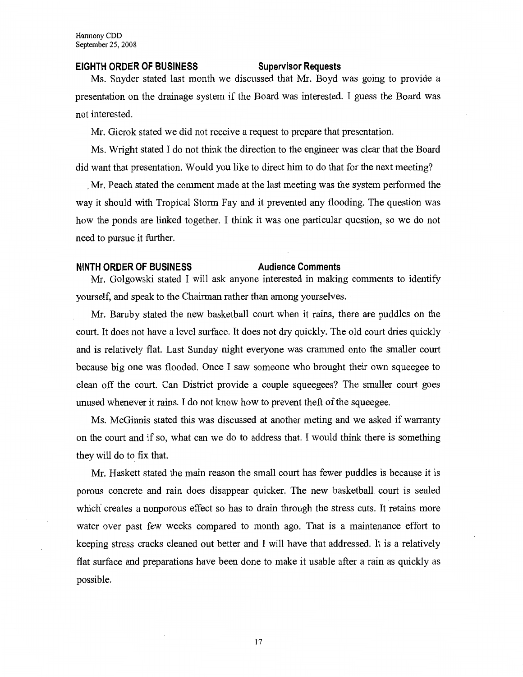### **EIGHTH ORDER OF BUSINESS Supervisor Requests**

Ms. Snyder stated last month we discussed that Mr. Boyd was going to provide a presentation on the drainage system if the Board was interested. I guess the Board was not interested.

Mr. Gierok stated we did not receive a request to prepare that presentation.

Ms. Wright stated I do not think the direction to the engineer was clear that the Board did want that presentation. Would you like to direct him to do that for the next meeting?

, Mr. Peach stated the comment made at the last meeting was the system performed the way it should with Tropical Storm Fay and it prevented any flooding. The question was how the ponds are linked together. I think it was one particular question, so we do not need to pursue it further.

# **NINTH ORDER OF BUSINESS Audience Comments**

Mr. Golgowski stated I will ask anyone interested in making comments to identify yourself, and speak to the Chairman rather than among yourselves.

Mr. Baruby stated the new basketball court when it rains, there are puddles on the court. It does not have a level surface. It does not dry quickly. The old court dries quickly and is relatively flat. Last Sunday night everyone was crammed onto the smaller court because big one was flooded. Once I saw someone who brought their own squeegee to clean off the court. Can District provide a couple squeegees? The smaller court goes unused whenever it rains. I do not know how to prevent theft of the squeegee.

Ms. McGinnis stated this was discussed at another meting and we asked if warranty on the court and if so, what can we do to address that. I would think there is something they will do to fix that.

Mr. Haskett stated the main reason the small court has fewer puddles is because it is porous concrete and rain does disappear quicker. The new basketball court is sealed which creates a nonporous effect so has to drain through the stress cuts. It retains more water over past few weeks compared to month ago. That is a maintenance effort to keeping stress cracks cleaned out better and I will have that addressed. It is a relatively flat surface and preparations have been done to make it usable after a rain as quickly as possible.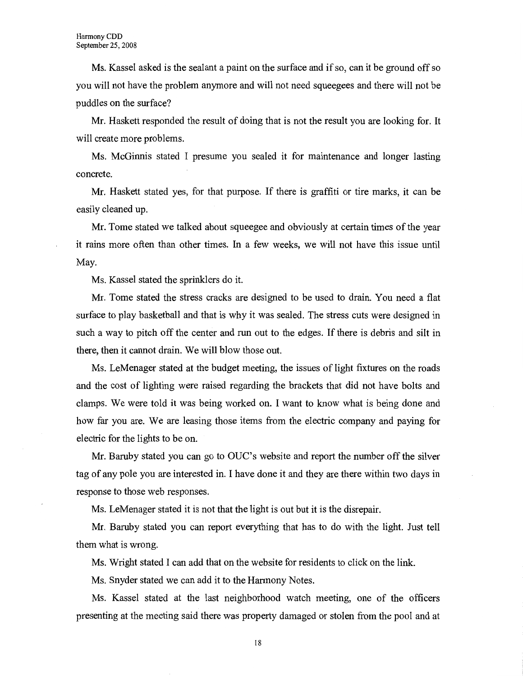Ms. Kassel asked is the sealant a paint on the surface and if so, can it be ground off so you will not have the problem anymore and will not need squeegees and there will not be puddles on the surface?

Mr. Haskett responded the result of doing that is not the result you are looking for. It will create more problems.

Ms. McGinnis stated I presume you sealed it for maintenance and longer lasting concrete.

Mr. Haskett stated yes, for that purpose. If there is graffiti or tire marks, it can be easily cleaned up.

Mr. Tome stated we talked about squeegee and obviously at certain times of the year it rains more often than other times. In a few weeks, we will not have this issue until May.

Ms. Kassel stated the sprinklers do it.

Mr. Tome stated the stress cracks are designed to be used to drain. You need a flat surface to play basketball and that is why it was sealed. The stress cuts were designed in such a way to pitch off the center and run out to the edges. If there is debris and silt in there, then it cannot drain. We will blow those out.

Ms. LeMenager stated at the budget meeting, the issues of light fixtures on the roads and the cost of lighting were raised regarding the brackets that did not have bolts and clamps. We were told it was being worked on. I want to know what is being done and how far you are. We are leasing those items from the electric company and paying for electric for the lights to be on.

Mr. Baruby stated you can go to OUC's website and report the number off the silver tag of any pole you are interested in. I have done it and they are there within two days in response to those web responses.

Ms. LeMenager stated it is not that the light is out but it is the disrepair.

Mr. Baruby stated you can report everything that has to do with the light. Just tell them what is wrong.

Ms. Wright stated I can add that on the website for residents to click on the link.

Ms. Snyder stated we can add it to the Harmony Notes.

Ms. Kassel stated at the last neighborhood watch meeting, one of the officers presenting at the meeting said there was property damaged or stolen from the pool and at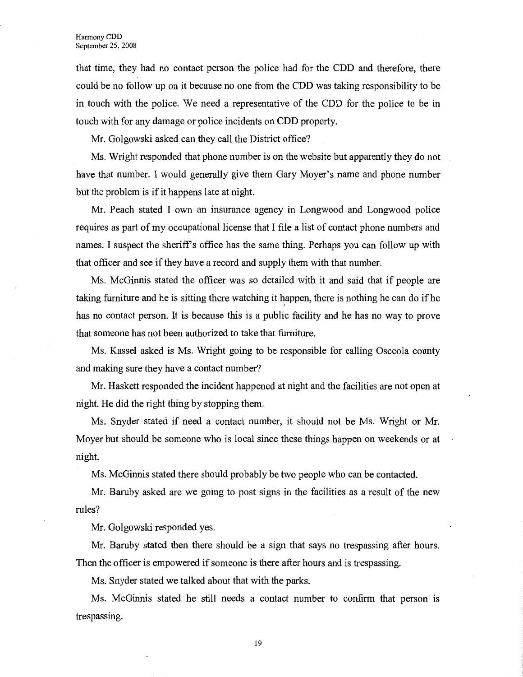that time, they had no contact person the police had for the CDD and therefore, there could be no follow up on it because no one from the CDD was taking responsibility to be in touch with the police. We need a representative of the CDD for the police to be in touch with for any damage or police incidents on CDD property.

Mr. Golgowski asked can they call the District office?

Ms. Wright responded that phone number is on the website but apparently they do not have that number. I would generally give them Gary Moyer's name and phone number but the problem is if it happens late at night.

Mr. Peach stated I own an insurance agency in Longwood and Longwood police requires as part of my occupational license that I file a list of contact phone numbers and names. I suspect the sheriffs office has the same thing. Perhaps you can follow up with that officer and see if they have a record and supply them with that number.

Ms. McGinnis stated the officer was so detailed with it and said that if people are taking furniture and he is sitting there watching it happen, there is nothing he can do if he has no contact person. It is because this is a public facility and he has no way to prove that someone has not been authorized to take that furniture.

Ms. Kassel asked is Ms. Wright going to be responsible for calling Osceola county and making sure they have a contact number?

Mr. Haskett responded the incident happened at night and the facilities are not open at night. He did the right thing by stopping them.

Ms. Snyder stated if need a contact number, it should not be Ms. Wright or Mr. Moyer but should be someone who is local since these things happen on weekends or at night.

Ms. McGinnis stated there should probably be two people who can be contacted.

Mr. Baruby asked are we going to post signs in the facilities as a result of the new rules?

Mr. Golgowski responded yes.

Mr. Baruby stated then there should be a sign that says no trespassing after hours. Then the officer is empowered if someone is there after hours and is trespassing.

Ms. Snyder stated we talked about that with the parks.

Ms. McGinnis stated he still needs a contact number to confirm that person is trespassing.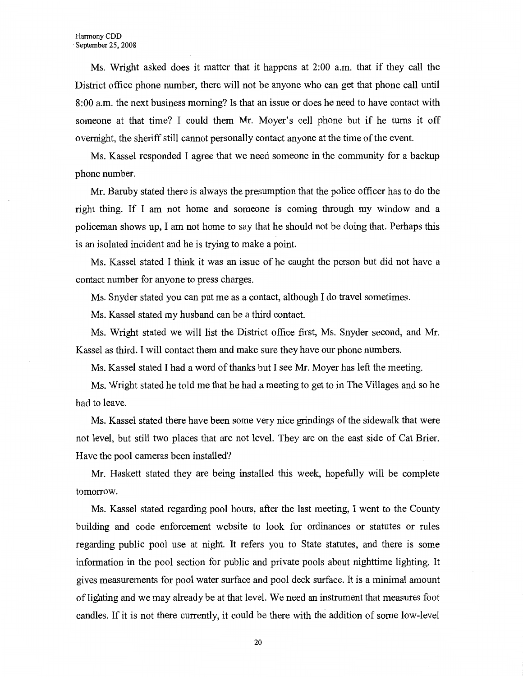Ms. Wright asked does it matter that it happens at 2:00 a.m. that if they call the District office phone number, there will not be anyone who can get that phone call until 8:00 a.m. the next business morning? Is that an issue or does he need to have contact with someone at that time? I could them Mr. Moyer's cell phone but if he turns it off overnight, the sheriff still cannot personally contact anyone at the time of the event.

Ms. Kassel responded I agree that we need someone in the community for a backup phone number.

Mr. Baruby stated there is always the presumption that the police officer has to do the right thing. If I am not home and someone is coming through my window and a policeman shows up, I am not home to say that he should not be doing that. Perhaps this is an isolated incident and he is trying to make a point.

Ms. Kassel stated I think it was an issue of he caught the person but did not have a contact number for anyone to press charges.

Ms. Snyder stated you can put me as a contact, although I do travel sometimes.

Ms. Kassel stated my husband can be a third contact.

Ms. Wright stated we will list the District office first, Ms. Snyder second, and Mr. Kassel as third. I will contact them and make sure they have our phone numbers.

Ms. Kassel stated I had a word of thanks but I see Mr. Moyer has left the meeting.

Ms. Wright stated he told me that he had a meeting to get to in The Villages and so he had to leave.

Ms. Kassel stated there have been some very nice grindings of the sidewalk that were not level, but still two places that are not level. They are on the east side of Cat Brier. Have the pool cameras been installed?

Mr. Haskett stated they are being installed this week, hopefully will be complete tomorrow.

Ms. Kassel stated regarding pool hours, after the last meeting, I went to the County building and code enforcement website to look for ordinances or statutes or rules regarding public pool use at night. It refers you to State statutes, and there is some information in the pool section for public and private pools about nighttime lighting. It gives measurements for pool water surface and pool deck surface. It is a minimal amount of lighting and we may already be at that level. We need an instrument that measures foot candles. If it is not there currently, it could be there with the addition of some low-level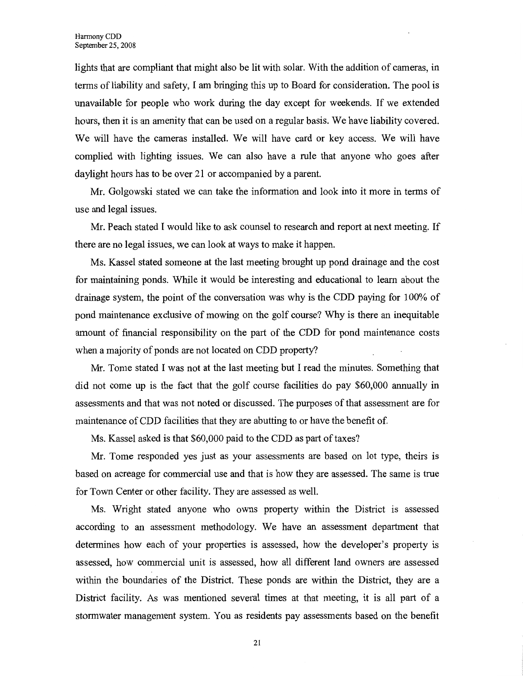lights that are compliant that might also be lit with solar. With the addition of cameras, in terms of liability and safety, I am bringing this up to Board for consideration. The pool is unavailable for people who work during the day except for weekends. If we extended hours, then it is an amenity that can be used on a regular basis. We have liability covered. We will have the cameras installed. We will have card or key access. We will have complied with lighting issues. We can also have a rule that anyone who goes after daylight hours has to be over 21 or accompanied by a parent.

Mr. Golgowski stated we can take the information and look into it more in terms of use and legal issues.

Mr. Peach stated I would like to ask counsel to research and report at next meeting. If there are no legal issues, we can look at ways to make it happen.

Ms. Kassel stated someone at the last meeting brought up pond drainage and the cost for maintaining ponds. While it would be interesting and educational to learn about the drainage system, the point of the conversation was why is the CDD paying for 100% of pond maintenance exclusive of mowing on the golf course? Why is there an inequitable amount of financial responsibility on the part of the CDD for pond maintenance costs when a majority of ponds are not located on CDD property?

Mr. Tome stated I was not at the last meeting but I read the minutes; Something that did not come up is the fact that the golf course facilities do pay \$60,000 annually in assessments and that was not noted or discussed. The purposes of that assessment are for maintenance of CDD facilities that they are abutting to or have the benefit of.

Ms. Kassel asked is that \$60,000 paid to the CDD as part of taxes?

Mr. Tome responded yes just as your assessments are based on lot type, theirs is based on acreage for commercial use and that is how they are assessed. The same is true for Town Center or other facility. They are assessed as well.

Ms. Wright stated anyone who owns property within the District is assessed according to an assessment methodology. We have an assessment department that determines how each of your properties is assessed, how the developer's property is assessed, how commercial unit is assessed, how all different land owners are assessed within the boundaries of the District. These ponds are within the District, they are a District facility. As was mentioned several times at that meeting, it is all part of a stormwater management system. You as residents pay assessments based on the benefit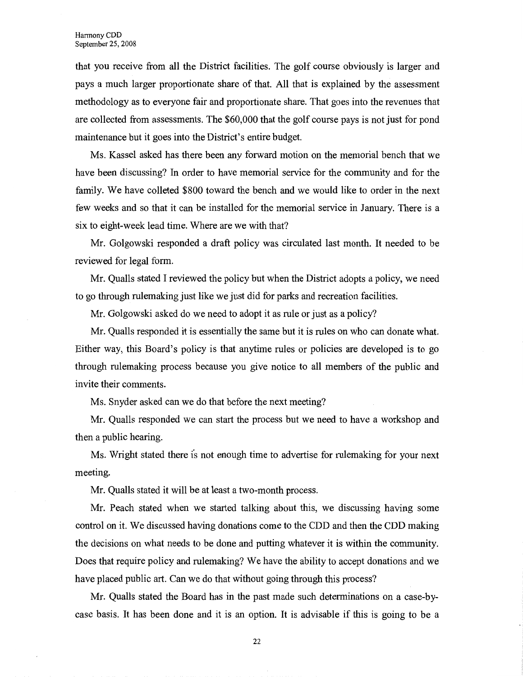that you receive from all the District facilities. The golf course obviously is larger and pays a much larger proportionate share of that. All that is explained by the assessment methodology as to everyone fair and proportionate share. That goes into the revenues that are collected from assessments. The \$60,000 that the golf course pays is not just for pond maintenance but it goes into the District's entire budget.

Ms. Kassel asked has there been any forward motion on the memorial bench that we have been discussing? In order to have memorial service for the community and for the family. We have colleted \$800 toward the bench and we would like to order in the next few weeks and so that it can be installed for the memorial service in January. There is a six to eight-week lead time. Where are we with that?

Mr. Golgowski responded a draft policy was circulated last month. It needed to be reviewed for legal form.

Mr. Qualls stated I reviewed the policy but when the District adopts a policy, we need to go through rulemaking just like we just did for parks and recreation facilities.

Mr. Golgowski asked do we need to adopt it as rule or just as a policy?

Mr. Qualls responded it is essentially the same but it is rules on who can donate what. Either way, this Board's policy is that anytime rules or policies are developed is to go through rulemaking process because you give notice to all members of the public and invite their comments.

Ms. Snyder asked can we do that before the next meeting?

Mr. Qualls responded we can start the process but we need to have a workshop and then a public hearing.

Ms. Wright stated there is not enough time to advertise for rulemaking for your next meeting.

Mr. Qualls stated it will be at least a two-month process.

Mr. Peach stated when we started talking about this, we discussing having some control on it. We discussed having donations come to the CDD and then the CDD making the decisions on what needs to be done and putting whatever it is within the community. Does that require policy and rulemaking? We have the ability to accept donations and we have placed public art. Can we do that without going through this process?

Mr. Qualls stated the Board has in the past made such determinations on a case-bycase basis. It has been done and it is an option. It is advisable if this is going to be a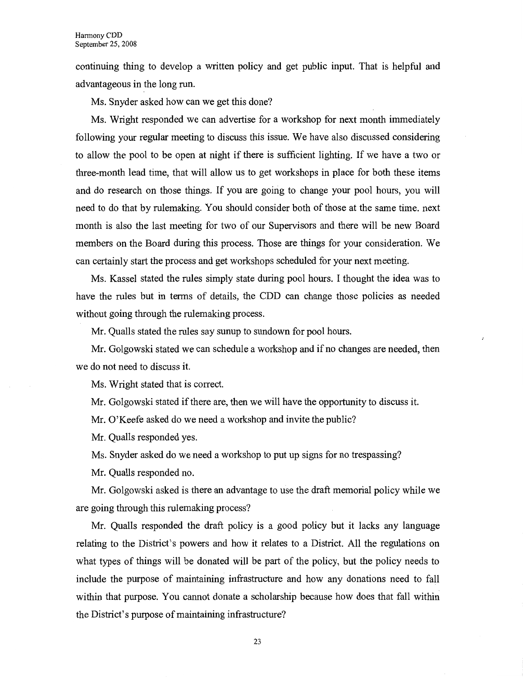continuing thing to develop a written policy and get public input. That is helpful and advantageous in the long run.

Ms. Snyder asked how can we get this done?

Ms. Wright responded we can advertise for a workshop for next month immediately following your regular meeting to discuss this issue. We have also discussed considering to allow the pool to be open at night if there is sufficient lighting. If we have a two or three-month lead time, that will allow us to get workshops in place for both these items and do research on those things. If you are going to change your pool hours, you will need to do that by rulemaking. You should consider both of those at the same time. next month is also the last meeting for two of our Supervisors and there will be new Board members on the Board during this process. Those are things for your consideration. We can certainly start the process and get workshops scheduled for your next meeting.

Ms. Kassel stated the rules simply state during pool hours. I thought the idea was to have the rules but in terms of details, the CDD can change those policies as needed without going through the rulemaking process.

Mr. Qualls stated the rules say sunup to sundown for pool hours.

Mr. Golgowski stated we can schedule a workshop and if no changes are needed, then we do not need to discuss it.

Ms. Wright stated that is correct.

Mr. Golgowski stated if there are, then we will have the opportunity to discuss it.

Mr. O'Keefe asked do we need a workshop and invite the public?

Mr. Qualls responded yes.

Ms. Snyder asked do we need a workshop to put up signs for no trespassing?

Mr. Qualls responded no.

Mr. Golgowski asked is there an advantage to use the draft memorial policy while we are going through this rulemaking process?

Mr. Qualls responded the draft policy is a good policy but it lacks any language relating to the District's powers and how it relates to a District. All the regulations on what types of things will be donated will be part of the policy, but the policy needs to include the purpose of maintaining infrastructure and how any donations need to fall within that purpose. You cannot donate a scholarship because how does that fall within the District's purpose of maintaining infrastructure?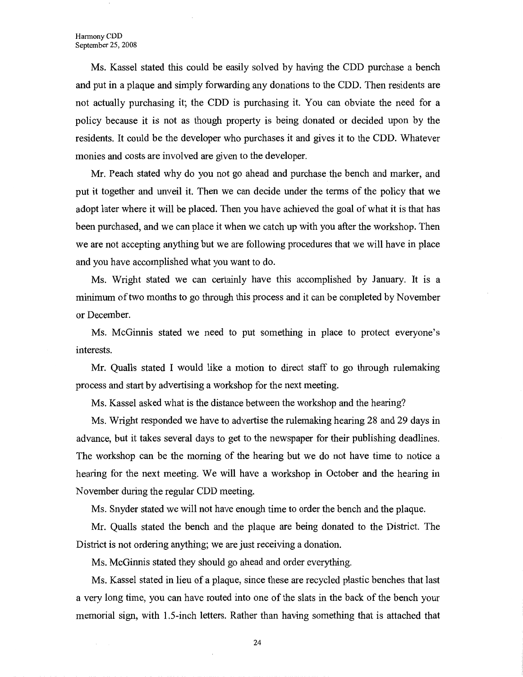Ms. Kassel stated this could be easily solved by having the CDD purchase a bench and put in a plaque and simply forwarding any donations to the CDD. Then residents are not actually purchasing it; the CDD is purchasing it. You can obviate the need for a policy because it is not as though property is being donated or decided upon by the residents. It could be the developer who purchases it and gives it to the CDD. Whatever monies and costs are involved are given to the developer.

Mr. Peach stated why do you not go ahead and purchase the bench and marker, and put it together and unveil it. Then we can decide under the terms of the policy that we adopt later where it will be placed. Then you have achieved the goal of what it is that has been purchased, and we can place it when we catch up with you after the workshop. Then we are not accepting anything but we are following procedures that we will have in place and you have accomplished what you want to do.

Ms. Wright stated we can certainly have this accomplished by January. It is a minimum of two months to go through this process and it can be completed by November or December.

Ms. McGinnis stated we need to put something in place to protect everyone's interests.

Mr. Qualls stated I would like a motion to direct staff to go through rulemaking process and start by advertising a workshop for the next meeting.

Ms. Kassel asked what is the distance between the workshop and the hearing?

Ms. Wright responded we have to advertise the rulemaking hearing 28 and 29 days in advance, but it takes several days to get to the newspaper for their publishing deadlines. The workshop can be the morning of the hearing but we do not have time to notice a hearing for the next meeting. We will have a workshop in October and the hearing in November during the regular CDD meeting.

Ms. Snyder stated we will not have enough time to order the bench and the plaque.

Mr. Qualls stated the bench and the plaque are being donated to the District. The District is not ordering anything; we are just receiving a donation.

Ms. McGinnis stated they should go ahead and order everything.

Ms. Kassel stated in lieu of a plaque, since these are recycled plastic benches that last a very long time, you can have routed into one of the slats in the back of the bench your memorial sign, with 1.5-inch letters. Rather than having something that is attached that